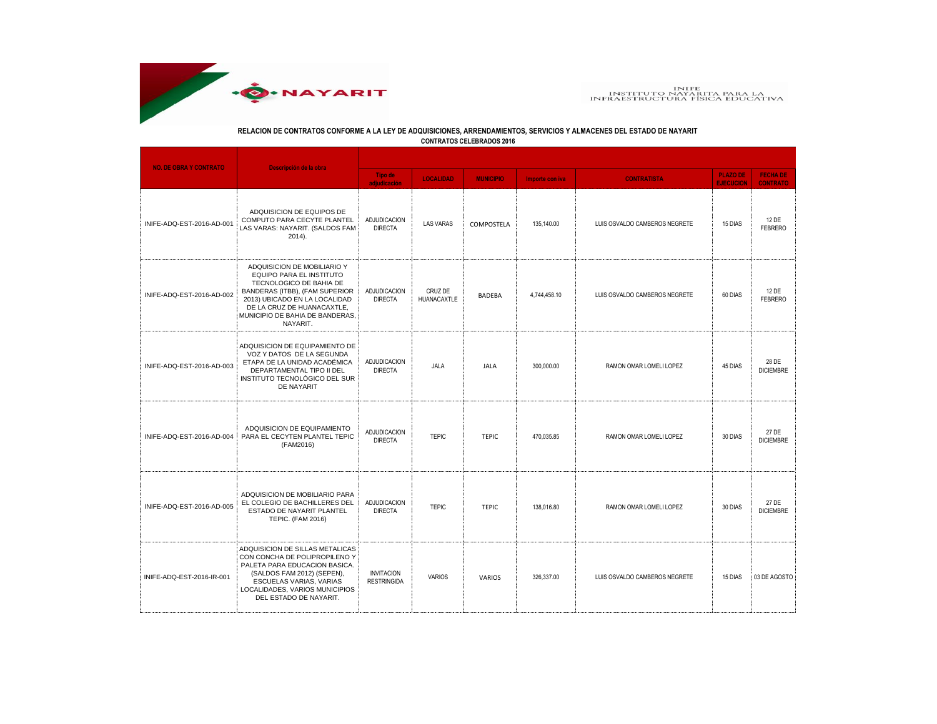

## **RELACION DE CONTRATOS CONFORME A LA LEY DE ADQUISICIONES, ARRENDAMIENTOS, SERVICIOS Y ALMACENES DEL ESTADO DE NAYARIT**

**CONTRATOS CELEBRADOS 2016**

| <b>NO. DE OBRA Y CONTRATO</b> | Descripción de la obra                                                                                                                                                                                                             |                                         |                        |                  |                 |                               |                                     |                                    |  |
|-------------------------------|------------------------------------------------------------------------------------------------------------------------------------------------------------------------------------------------------------------------------------|-----------------------------------------|------------------------|------------------|-----------------|-------------------------------|-------------------------------------|------------------------------------|--|
|                               |                                                                                                                                                                                                                                    | <b>Tipo de</b><br>adjudicación          | <b>LOCALIDAD</b>       | <b>MUNICIPIO</b> | Importe con iva | <b>CONTRATISTA</b>            | <b>PLAZO DE</b><br><b>EJECUCION</b> | <b>FECHA DE</b><br><b>CONTRATO</b> |  |
| INIFE-ADQ-EST-2016-AD-001     | ADQUISICION DE EQUIPOS DE<br>COMPUTO PARA CECYTE PLANTEL<br>LAS VARAS: NAYARIT. (SALDOS FAM<br>$2014$ ).                                                                                                                           | ADJUDICACION<br><b>DIRECTA</b>          | <b>LAS VARAS</b>       | COMPOSTELA       | 135,140.00      | LUIS OSVALDO CAMBEROS NEGRETE | 15 DIAS                             | 12 DE<br><b>FEBRERO</b>            |  |
| INIFE-ADQ-EST-2016-AD-002     | ADQUISICION DE MOBILIARIO Y<br>EQUIPO PARA EL INSTITUTO<br>TECNOLOGICO DE BAHIA DE<br>BANDERAS (ITBB), (FAM SUPERIOR<br>2013) UBICADO EN LA LOCALIDAD<br>DE LA CRUZ DE HUANACAXTLE,<br>MUNICIPIO DE BAHIA DE BANDERAS.<br>NAYARIT. | ADJUDICACION<br><b>DIRECTA</b>          | CRUZ DE<br>HUANACAXTLE | BADEBA           | 4,744,458.10    | LUIS OSVALDO CAMBEROS NEGRETE | 60 DIAS                             | 12 DE<br><b>FEBRERO</b>            |  |
| INIFE-ADQ-EST-2016-AD-003     | ADQUISICION DE EQUIPAMIENTO DE<br>VOZ Y DATOS DE LA SEGUNDA<br>ETAPA DE LA UNIDAD ACADÉMICA<br>DEPARTAMENTAL TIPO II DEL<br>INSTITUTO TECNOLÓGICO DEL SUR<br>DE NAYARIT                                                            | <b>ADJUDICACION</b><br><b>DIRECTA</b>   | JALA                   | <b>JALA</b>      | 300,000.00      | RAMON OMAR LOMELI LOPEZ       | 45 DIAS                             | 28 DE<br><b>DICIEMBRE</b>          |  |
| INIFE-ADQ-EST-2016-AD-004     | ADQUISICION DE EQUIPAMIENTO<br>PARA EL CECYTEN PLANTEL TEPIC<br>(FAM2016)                                                                                                                                                          | <b>ADJUDICACION</b><br><b>DIRECTA</b>   | <b>TEPIC</b>           | <b>TEPIC</b>     | 470.035.85      | RAMON OMAR LOMELI LOPEZ       | 30 DIAS                             | 27 DE<br><b>DICIEMBRE</b>          |  |
| INIFE-ADQ-EST-2016-AD-005     | ADQUISICION DE MOBILIARIO PARA<br>EL COLEGIO DE BACHILLERES DEL<br>ESTADO DE NAYARIT PLANTEL<br>TEPIC. (FAM 2016)                                                                                                                  | ADJUDICACION<br><b>DIRECTA</b>          | <b>TEPIC</b>           | <b>TEPIC</b>     | 138.016.80      | RAMON OMAR LOMELI LOPEZ       | 30 DIAS                             | 27 DE<br><b>DICIEMBRE</b>          |  |
| INIFE-ADQ-EST-2016-IR-001     | ADQUISICION DE SILLAS METALICAS<br>CON CONCHA DE POLIPROPILENO Y<br>PALETA PARA EDUCACION BASICA.<br>(SALDOS FAM 2012) (SEPEN),<br>ESCUELAS VARIAS, VARIAS<br>LOCALIDADES, VARIOS MUNICIPIOS<br>DEL ESTADO DE NAYARIT.             | <b>INVITACION</b><br><b>RESTRINGIDA</b> | <b>VARIOS</b>          | <b>VARIOS</b>    | 326,337.00      | LUIS OSVALDO CAMBEROS NEGRETE | 15 DIAS                             | 03 DE AGOSTO                       |  |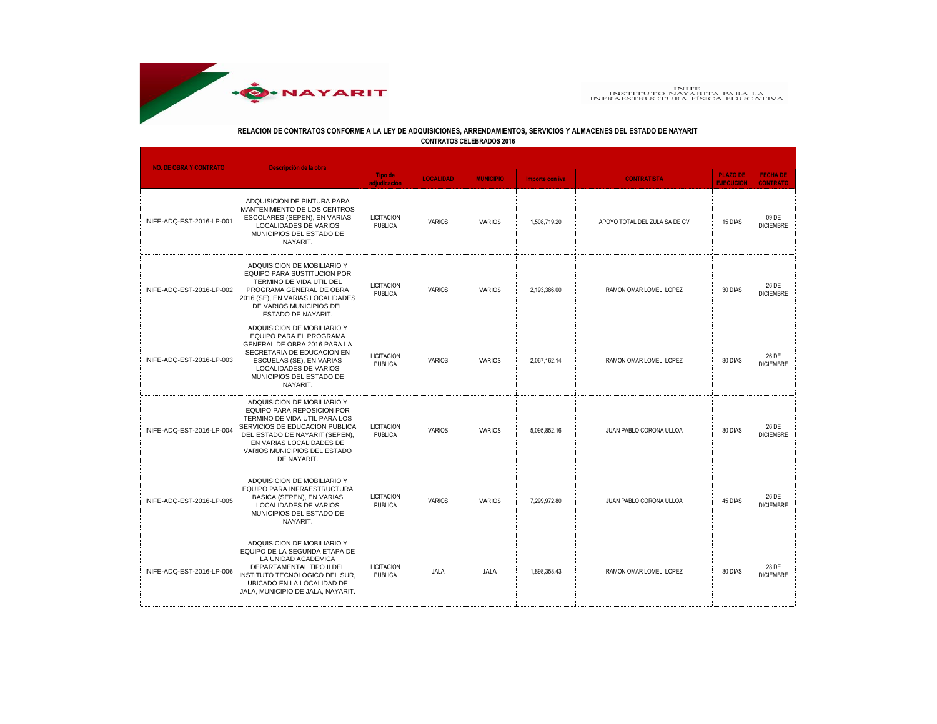

## **RELACION DE CONTRATOS CONFORME A LA LEY DE ADQUISICIONES, ARRENDAMIENTOS, SERVICIOS Y ALMACENES DEL ESTADO DE NAYARIT**

**CONTRATOS CELEBRADOS 2016**

| <b>NO. DE OBRA Y CONTRATO</b> | Descripción de la obra                                                                                                                                                                                                                    |                                     |                  |                  |                 |                               |                                     |                                    |  |
|-------------------------------|-------------------------------------------------------------------------------------------------------------------------------------------------------------------------------------------------------------------------------------------|-------------------------------------|------------------|------------------|-----------------|-------------------------------|-------------------------------------|------------------------------------|--|
|                               |                                                                                                                                                                                                                                           | <b>Tipo de</b><br>adjudicación      | <b>LOCALIDAD</b> | <b>MUNICIPIO</b> | Importe con iva | <b>CONTRATISTA</b>            | <b>PLAZO DE</b><br><b>EJECUCION</b> | <b>FECHA DE</b><br><b>CONTRATO</b> |  |
| INIFE-ADQ-EST-2016-LP-001     | ADQUISICION DE PINTURA PARA<br>MANTENIMIENTO DE LOS CENTROS<br>ESCOLARES (SEPEN), EN VARIAS<br>LOCALIDADES DE VARIOS<br>MUNICIPIOS DEL ESTADO DE<br>NAYARIT.                                                                              | <b>LICITACION</b><br><b>PUBLICA</b> | <b>VARIOS</b>    | <b>VARIOS</b>    | 1,508,719.20    | APOYO TOTAL DEL ZULA SA DE CV | 15 DIAS                             | 09 DE<br><b>DICIEMBRE</b>          |  |
| INIFE-ADQ-EST-2016-LP-002     | ADQUISICION DE MOBILIARIO Y<br>EQUIPO PARA SUSTITUCION POR<br>TERMINO DE VIDA UTIL DEL<br>PROGRAMA GENERAL DE OBRA<br>2016 (SE), EN VARIAS LOCALIDADES<br>DE VARIOS MUNICIPIOS DEL<br>ESTADO DE NAYARIT.                                  | <b>LICITACION</b><br><b>PUBLICA</b> | <b>VARIOS</b>    | VARIOS           | 2,193,386.00    | RAMON OMAR LOMELI LOPEZ       | 30 DIAS                             | 26 DE<br><b>DICIEMBRE</b>          |  |
| INIFE-ADQ-EST-2016-LP-003     | ADQUISICION DE MOBILIARIO Y<br>EQUIPO PARA EL PROGRAMA<br>GENERAL DE OBRA 2016 PARA LA<br>SECRETARIA DE EDUCACION EN<br>ESCUELAS (SE), EN VARIAS<br>LOCALIDADES DE VARIOS<br>MUNICIPIOS DEL ESTADO DE<br>NAYARIT.                         | <b>LICITACION</b><br><b>PUBLICA</b> | <b>VARIOS</b>    | VARIOS           | 2,067,162.14    | RAMON OMAR LOMELI LOPEZ       | 30 DIAS                             | 26 DE<br><b>DICIEMBRE</b>          |  |
| INIFE-ADQ-EST-2016-LP-004     | ADQUISICION DE MOBILIARIO Y<br>EQUIPO PARA REPOSICION POR<br>TERMINO DE VIDA UTIL PARA LOS<br>SERVICIOS DE EDUCACION PUBLICA<br>DEL ESTADO DE NAYARIT (SEPEN),<br>EN VARIAS LOCALIDADES DE<br>VARIOS MUNICIPIOS DEL ESTADO<br>DE NAYARIT. | <b>LICITACION</b><br><b>PUBLICA</b> | <b>VARIOS</b>    | <b>VARIOS</b>    | 5.095.852.16    | JUAN PABLO CORONA ULLOA       | 30 DIAS                             | 26 DE<br><b>DICIEMBRE</b>          |  |
| INIFE-ADQ-EST-2016-LP-005     | ADQUISICION DE MOBILIARIO Y<br>EQUIPO PARA INFRAESTRUCTURA<br>BASICA (SEPEN), EN VARIAS<br>LOCALIDADES DE VARIOS<br>MUNICIPIOS DEL ESTADO DE<br>NAYARIT.                                                                                  | <b>LICITACION</b><br><b>PUBLICA</b> | <b>VARIOS</b>    | <b>VARIOS</b>    | 7,299,972.80    | JUAN PABLO CORONA ULLOA       | 45 DIAS                             | 26 DE<br><b>DICIEMBRE</b>          |  |
| INIFE-ADQ-EST-2016-LP-006     | ADQUISICION DE MOBILIARIO Y<br>EQUIPO DE LA SEGUNDA ETAPA DE<br>LA UNIDAD ACADEMICA<br>DEPARTAMENTAL TIPO II DEL<br>INSTITUTO TECNOLOGICO DEL SUR.<br>UBICADO EN LA LOCALIDAD DE<br>JALA, MUNICIPIO DE JALA, NAYARIT.                     | <b>LICITACION</b><br><b>PUBLICA</b> | JALA             | <b>JALA</b>      | 1.898.358.43    | RAMON OMAR LOMELI LOPEZ       | 30 DIAS                             | 28 DE<br><b>DICIEMBRE</b>          |  |